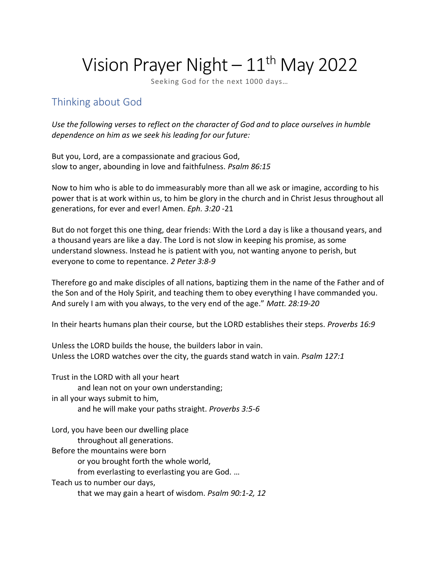# Vision Prayer Night  $-11$ <sup>th</sup> May 2022

Seeking God for the next 1000 days…

## Thinking about God

*Use the following verses to reflect on the character of God and to place ourselves in humble dependence on him as we seek his leading for our future:*

But you, Lord, are a compassionate and gracious God, slow to anger, abounding in love and faithfulness. *Psalm 86:15*

Now to him who is able to do immeasurably more than all we ask or imagine, according to his power that is at work within us, to him be glory in the church and in Christ Jesus throughout all generations, for ever and ever! Amen. *Eph. 3:20* -21

But do not forget this one thing, dear friends: With the Lord a day is like a thousand years, and a thousand years are like a day. The Lord is not slow in keeping his promise, as some understand slowness. Instead he is patient with you, not wanting anyone to perish, but everyone to come to repentance. *2 Peter 3:8-9*

Therefore go and make disciples of all nations, baptizing them in the name of the Father and of the Son and of the Holy Spirit, and teaching them to obey everything I have commanded you. And surely I am with you always, to the very end of the age." *Matt. 28:19-20*

In their hearts humans plan their course, but the LORD establishes their steps. *Proverbs 16:9*

Unless the LORD builds the house, the builders labor in vain. Unless the LORD watches over the city, the guards stand watch in vain. *Psalm 127:1*

Trust in the LORD with all your heart and lean not on your own understanding; in all your ways submit to him, and he will make your paths straight. *Proverbs 3:5-6*

Lord, you have been our dwelling place

throughout all generations.

Before the mountains were born

or you brought forth the whole world,

from everlasting to everlasting you are God. …

Teach us to number our days,

that we may gain a heart of wisdom. *Psalm 90:1-2, 12*